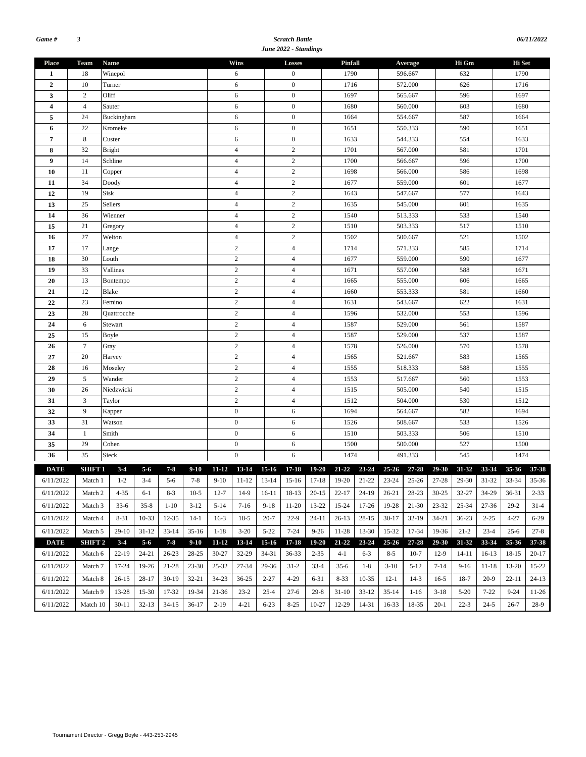#### *Scratch Battle June 2022 - Standings*

| <b>Place</b>   | <b>Team</b>           | <b>Name</b>        |           |           |           |                  | Wins                    |                  | Losses           |           | Pinfall                                                              |                 |           | Average   |           | Hi Gm     |           | Hi Set            |          |  |
|----------------|-----------------------|--------------------|-----------|-----------|-----------|------------------|-------------------------|------------------|------------------|-----------|----------------------------------------------------------------------|-----------------|-----------|-----------|-----------|-----------|-----------|-------------------|----------|--|
| 1              | 18                    | Winepol            |           |           |           | 6                |                         | $\boldsymbol{0}$ |                  | 1790      |                                                                      |                 | 596.667   |           | 632       |           | 1790      |                   |          |  |
| $\overline{2}$ | 10                    | Turner             |           |           |           | 6                |                         | $\mathbf{0}$     |                  | 1716      |                                                                      | 572.000         |           |           | 626       |           | 1716      |                   |          |  |
| 3              | $\mathfrak{2}$        | Oliff              |           |           |           | 6                |                         | $\boldsymbol{0}$ |                  | 1697      |                                                                      |                 | 565.667   |           | 596       |           | 1697      |                   |          |  |
| $\overline{4}$ | $\overline{4}$        | Sauter             |           |           |           |                  | 6                       |                  | $\mathbf{0}$     |           | 1680                                                                 |                 |           | 560.000   |           | 603       |           | 1680              |          |  |
| 5              | 24                    | Buckingham         |           |           |           |                  | 6                       |                  | $\boldsymbol{0}$ |           | 1664                                                                 |                 |           | 554.667   |           | 587       |           | 1664              |          |  |
| 6              | 22                    | Kromeke            |           |           |           |                  | 6                       |                  | $\boldsymbol{0}$ |           | 1651                                                                 |                 |           | 550.333   |           | 590       |           | 1651              |          |  |
| $\overline{7}$ | 8                     | Custer             |           |           |           |                  | 6                       |                  | $\boldsymbol{0}$ |           | 1633                                                                 |                 |           | 544.333   |           | 554       |           | 1633              |          |  |
| 8              | 32                    | <b>Bright</b>      |           |           |           |                  | $\overline{4}$          |                  | $\sqrt{2}$       |           | 1701                                                                 |                 |           | 567.000   |           | 581       |           | 1701              |          |  |
| 9              | 14                    | Schline            |           |           |           |                  | $\overline{4}$          |                  | $\overline{c}$   |           | 1700                                                                 |                 |           | 566.667   |           | 596       |           | 1700              |          |  |
| 10             | 11                    | Copper             |           |           |           |                  | $\overline{4}$          |                  | $\overline{2}$   |           | 1698                                                                 |                 |           | 566.000   |           | 586       |           | 1698              |          |  |
| 11             | 34                    | Doody              |           |           |           |                  | $\overline{4}$          |                  | $\sqrt{2}$       |           | 1677                                                                 |                 |           | 559.000   |           | 601       |           | 1677              |          |  |
| 12             | 19                    | Sisk               |           |           |           |                  | $\overline{4}$          |                  | $\overline{c}$   |           | 1643                                                                 |                 |           | 547.667   |           | 577       |           | 1643              |          |  |
| 13             | 25                    | Sellers            |           |           |           |                  | $\overline{4}$          |                  | $\sqrt{2}$       |           | 1635                                                                 |                 |           | 545.000   |           | 601       |           | 1635              |          |  |
| 14             | 36                    | Wienner            |           |           |           |                  | $\overline{4}$          |                  | $\overline{c}$   |           | 1540                                                                 |                 |           | 513.333   |           | 533       |           | 1540              |          |  |
| 15             | 21                    | Gregory            |           |           |           |                  | $\overline{4}$          |                  | $\overline{2}$   |           | 1510                                                                 |                 |           | 503.333   |           | 517       |           | 1510              |          |  |
| 16             | 27                    | Welton             |           |           |           |                  | $\overline{4}$          |                  | $\overline{c}$   |           | 1502                                                                 |                 |           | 500.667   |           | 521       |           | 1502              |          |  |
| 17             | 17                    | Lange              |           |           |           |                  | $\overline{c}$          |                  | $\overline{4}$   |           | 1714                                                                 |                 |           | 571.333   |           | 585       |           | 1714              |          |  |
| 18             | 30                    | Louth              |           |           |           |                  | $\overline{c}$          |                  | $\overline{4}$   |           | 1677                                                                 |                 |           | 559.000   |           | 590       |           | 1677              |          |  |
| 19             | 33                    | Vallinas           |           |           |           |                  | $\overline{c}$          |                  | $\overline{4}$   |           | 1671                                                                 |                 |           | 557.000   |           | 588       |           | 1671              |          |  |
| 20             | 13                    | Bontempo           |           |           |           |                  | $\overline{c}$          |                  | $\overline{4}$   |           | 1665                                                                 |                 |           | 555.000   |           | 606       |           | 1665              |          |  |
| 21             | 12                    | Blake              |           |           |           | $\sqrt{2}$       |                         | $\overline{4}$   |                  | 1660      |                                                                      |                 | 553.333   |           | 581       |           | 1660      |                   |          |  |
| 22             | 23                    | Femino             |           |           |           |                  | $\overline{c}$          |                  | $\overline{4}$   |           |                                                                      | 1631<br>543.667 |           |           |           | 622       |           | 1631              |          |  |
| 23             | 28                    | <b>Ouattrocche</b> |           |           |           |                  | $\overline{c}$          |                  | $\overline{4}$   |           | 1596                                                                 |                 |           | 532.000   |           | 553       |           | 1596              |          |  |
| 24             | 6                     | Stewart            |           |           |           |                  | $\overline{c}$          |                  | $\overline{4}$   |           | 1587                                                                 |                 |           | 529.000   |           | 561       |           | 1587              |          |  |
| 25             | 15                    | Boyle              |           |           |           |                  | $\overline{c}$          |                  | $\overline{4}$   |           | 1587                                                                 |                 |           | 529.000   |           | 537       |           | 1587              |          |  |
| 26             | $\boldsymbol{7}$      | Gray               |           |           |           |                  | $\overline{c}$          |                  | $\overline{4}$   |           | 1578                                                                 |                 |           | 526.000   |           | 570       |           | 1578              |          |  |
| 27             | 20                    | Harvey             |           |           |           |                  | $\overline{c}$          |                  | $\overline{4}$   |           | 1565                                                                 |                 |           | 521.667   |           | 583       |           | 1565              |          |  |
| 28             | 16                    | Moseley            |           |           |           |                  | $\overline{c}$          |                  | $\overline{4}$   |           | 1555                                                                 |                 |           | 518.333   |           | 588       |           | 1555              |          |  |
| 29             | 5                     | Wander             |           |           |           |                  | $\overline{c}$          |                  | $\overline{4}$   |           | 1553                                                                 |                 |           | 517.667   |           | 560       |           | 1553              |          |  |
| 30             | 26                    | Niedzwicki         |           |           |           |                  | $\overline{c}$          |                  | $\overline{4}$   |           | 1515                                                                 |                 |           | 505.000   |           | 540       |           | 1515              |          |  |
| 31             | $\mathfrak z$         | Taylor             |           |           |           | $\overline{c}$   |                         |                  | $\overline{4}$   |           | 1512                                                                 |                 | 504.000   |           |           | 530       |           | 1512              |          |  |
| 32             | 9                     | Kapper             |           |           |           | $\boldsymbol{0}$ |                         |                  | 6                |           | 1694                                                                 |                 | 564.667   |           |           | 582       |           | 1694              |          |  |
| 33             | 31                    | Watson             |           |           |           |                  | $\mathbf{0}$            |                  | 6                |           | 1526                                                                 |                 | 508.667   |           |           | 533       |           | 1526              |          |  |
| 34             | $\mathbf{1}$          | Smith              |           |           |           |                  | $\mathbf{0}$            |                  | 6                |           | 1510                                                                 |                 |           | 503.333   |           | 506       |           | 1510              |          |  |
| 35             | 29                    | Cohen              |           |           |           |                  | $\boldsymbol{0}$        |                  | 6                |           | 1500                                                                 |                 |           | 500.000   |           | 527       |           | 1500              |          |  |
| 36             | 35                    | Sieck              |           |           |           |                  | $\boldsymbol{0}$        |                  | 6                |           | 1474                                                                 |                 |           | 491.333   |           | 545       |           | 1474              |          |  |
|                |                       |                    |           |           |           |                  |                         |                  |                  |           |                                                                      |                 |           |           |           |           |           |                   |          |  |
| <b>DATE</b>    | SHIFT 1               | $3 - 4$            | $5-6$     | $7 - 8$   | $9-10$    |                  | 11-12 13-14 15-16 17-18 |                  |                  |           | 19-20 21-22 23-24 25-26                                              |                 |           | 27-28     | 29-30     | 31-32     | 33-34     | 35-36             | 37-38    |  |
|                | 6/11/2022 Match 1 1-2 |                    | $3-4$     | $5-6$     |           |                  |                         |                  |                  |           | 7-8 9-10 11-12 13-14 15-16 17-18 19-20 21-22 23-24 25-26 27-28 29-30 |                 |           |           |           |           |           | 31-32 33-34 35-36 |          |  |
| 6/11/2022      | Match 2               | 4-35               | 6-1       | $8-3$     | $10-5$    | $12 - 7$         | 14-9                    | 16-11            | 18-13            | $20-15$   | $22 - 17$                                                            | 24-19           | 26-21     | 28-23     | $30 - 25$ | $32 - 27$ | 34-29     | 36-31             | $2 - 33$ |  |
| 6/11/2022      | Match 3               | $33-6$             | $35 - 8$  | $1 - 10$  | $3-12$    | $5 - 14$         | $7-16$                  | $9-18$           | $11-20$          | 13-22     | 15-24                                                                | $17 - 26$       | 19-28     | $21-30$   | $23 - 32$ | $25 - 34$ | 27-36     | $29-2$            | $31 - 4$ |  |
| 6/11/2022      | Match 4               | 8-31               | $10-33$   | 12-35     | $14-1$    | $16-3$           | $18-5$                  | $20 - 7$         | $22-9$           | $24 - 11$ | $26-13$                                                              | $28-15$         | $30-17$   | $32-19$   | $34 - 21$ | $36-23$   | $2 - 25$  | 4-27              | $6-29$   |  |
| 6/11/2022      | Match 5               | 29-10              | $31 - 12$ | $33 - 14$ | $35-16$   | $1 - 18$         | $3 - 20$                | $5 - 22$         | $7 - 24$         | $9 - 26$  | 11-28                                                                | 13-30           | 15-32     | 17-34     | 19-36     | $21 - 2$  | $23 - 4$  | $25 - 6$          | $27 - 8$ |  |
| <b>DATE</b>    | <b>SHIFT 2</b>        | $3-4$              | $5 - 6$   | $7 - 8$   | $9-10$    | $11 - 12$        | 13-14                   | $15-16$          | $17 - 18$        | 19-20     | $21 - 22$                                                            | 23-24           | $25 - 26$ | $27 - 28$ | 29-30     | 31-32     | 33-34     | 35-36             | 37-38    |  |
| 6/11/2022      | Match 6               |                    | 24-21     | 26-23     | 28-25     | $30 - 27$        | 32-29                   | 34-31            | 36-33            |           |                                                                      |                 | $8 - 5$   | $10-7$    | $12-9$    | 14-11     | $16-13$   | 18-15             | $20-17$  |  |
|                |                       | 22-19              |           |           |           |                  |                         |                  |                  | $2 - 35$  | 4-1                                                                  | 6-3             |           |           |           |           |           |                   |          |  |
| 6/11/2022      | Match 7               | 17-24              | 19-26     | 21-28     | $23 - 30$ | 25-32            | 27-34                   | 29-36            | $31-2$           | $33-4$    | $35-6$                                                               | $1 - 8$         | $3-10$    | $5 - 12$  | $7 - 14$  | $9-16$    | $11 - 18$ | 13-20             | 15-22    |  |
| 6/11/2022      | Match 8               | $26-15$            | 28-17     | $30-19$   | 32-21     | 34-23            | $36 - 25$               | $2 - 27$         | $4 - 29$<br>6-31 |           | $8 - 33$                                                             | 10-35           | $12-1$    | $14-3$    | $16-5$    | 18-7      | $20-9$    | 22-11             | $24-13$  |  |
| 6/11/2022      | Match 9               | 13-28              | $15-30$   | 17-32     | 19-34     | 21-36            | $23-2$                  | $25 - 4$         | $27-6$           | $29 - 8$  | $31-10$                                                              | $33-12$         | $35-14$   | $1-16$    | $3-18$    | $5 - 20$  | $7 - 22$  | $9 - 24$          | $11-26$  |  |
| 6/11/2022      | Match 10              | $30 - 11$          | $32 - 13$ | $34 - 15$ | $36-17$   | $2-19$           | $4 - 21$                | $6 - 23$         | $8 - 25$         | $10-27$   | 12-29                                                                | 14-31           | $16 - 33$ | 18-35     | $20-1$    | $22 - 3$  | $24 - 5$  | $26 - 7$          | $28-9$   |  |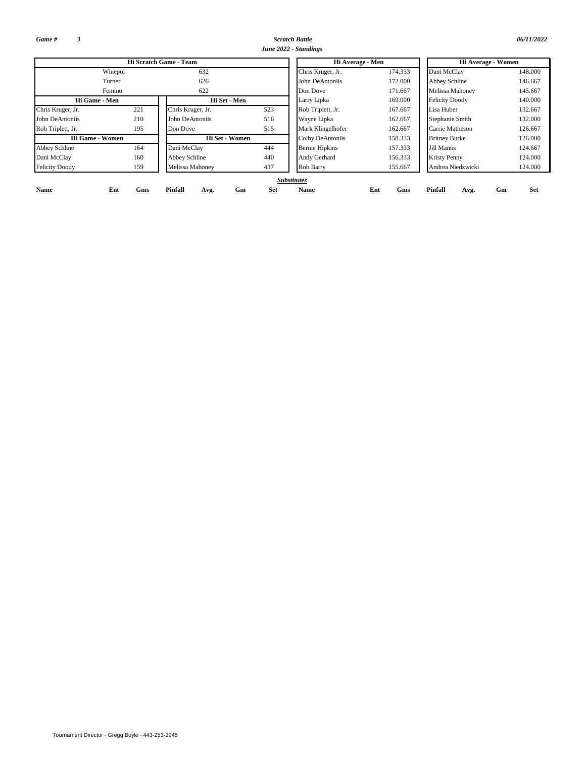*Game # 3*

*Scratch Battle 06/11/2022 June 2022 - Standings*

|                       |            | Hi Scratch Game - Team |                  | Hi Average - Men      |            | Hi Average - Women           |                  |  |  |  |
|-----------------------|------------|------------------------|------------------|-----------------------|------------|------------------------------|------------------|--|--|--|
|                       | Winepol    | 632                    |                  | Chris Kruger, Jr.     | 174.333    | Dani McClay                  | 148,000          |  |  |  |
|                       | Turner     | 626                    |                  | John DeAntoniis       | 172.000    | Abbey Schline                | 146.667          |  |  |  |
|                       | Femino     | 622                    |                  | Don Dove              | 171.667    | Melissa Mahoney              | 145.667          |  |  |  |
| Hi Game - Men         |            | Hi Set - Men           |                  | Larry Lipka           | 169.000    | <b>Felicity Doody</b>        | 140,000          |  |  |  |
| Chris Kruger, Jr.     | 221        | Chris Kruger, Jr.      | 523              | Rob Triplett, Jr.     | 167.667    | Lisa Huber                   | 132.667          |  |  |  |
| John DeAntoniis       | 210        | John DeAntoniis        | 516              | Wayne Lipka           | 162.667    | Stephanie Smith              | 132.000          |  |  |  |
| Rob Triplett, Jr.     | 195        | Don Dove               | 515              | Mark Klingelhofer     | 162.667    | Carrie Matheson              | 126.667          |  |  |  |
| Hi Game - Women       |            | Hi Set - Women         |                  | Colby DeAntoniis      | 158.333    | <b>Britney Burke</b>         | 126.000          |  |  |  |
| <b>Abbey Schline</b>  | 164        | Dani McClay            | 444              | <b>Bernie Hipkins</b> | 157.333    | Jill Manns                   | 124.667          |  |  |  |
| Dani McClay           | 160        | Abbey Schline          | 440              | Andy Gerhard          | 156.333    | <b>Kristy Penny</b>          | 124.000          |  |  |  |
| <b>Felicity Doody</b> | 159        | Melissa Mahoney        | 437              | Rob Barry             | 155.667    | Andrea Niedzwicki<br>124.000 |                  |  |  |  |
|                       |            |                        |                  | <b>Substitutes</b>    |            |                              |                  |  |  |  |
| Name                  | Ent<br>Gms | Pinfall<br>Avg.        | <b>Set</b><br>Gm | Name                  | Ent<br>Gms | Pinfall<br>Avg.              | <b>Set</b><br>Gm |  |  |  |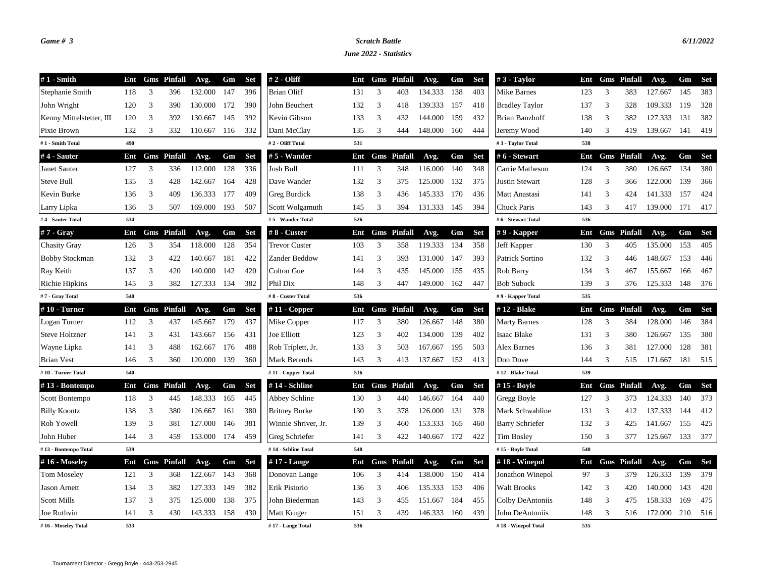## *Game # 3 Scratch Battle 6/11/2022*

*June 2022 - Statistics*

| $#1$ - Smith             | Ent |   | <b>Gms</b> Pinfall | Avg.    | Gm  | <b>Set</b> | $# 2 - Oliff$        | Ent |   | <b>Gms</b> Pinfall | Avg.    | Gm  | <b>Set</b> | $#3$ - Taylor          | Ent |                | <b>Gms</b> Pinfall | Avg.    | Gm  | <b>Set</b> |
|--------------------------|-----|---|--------------------|---------|-----|------------|----------------------|-----|---|--------------------|---------|-----|------------|------------------------|-----|----------------|--------------------|---------|-----|------------|
| Stephanie Smith          | 118 | 3 | 396                | 132.000 | 147 | 396        | <b>Brian Oliff</b>   | 131 | 3 | 403                | 134.333 | 138 | 403        | Mike Barnes            | 123 | 3              | 383                | 127.667 | 145 | 383        |
| John Wright              | 120 | 3 | 390                | 130.000 | 172 | 390        | John Beuchert        | 132 | 3 | 418                | 139.333 | 157 | 418        | <b>Bradley Taylor</b>  | 137 | 3              | 328                | 109.333 | 119 | 328        |
| Kenny Mittelstetter, III | 120 | 3 | 392                | 130.667 | 145 | 392        | Kevin Gibson         | 133 | 3 | 432                | 144.000 | 159 | 432        | Brian Banzhoff         | 138 | 3              | 382                | 127.333 | 131 | 382        |
| Pixie Brown              | 132 | 3 | 332                | 110.667 | 116 | 332        | Dani McClay          | 135 | 3 | 444                | 148.000 | 160 | 444        | Jeremy Wood            | 140 | 3              | 419                | 139.667 | 141 | 419        |
| #1 - Smith Total         | 490 |   |                    |         |     |            | #2 - Oliff Total     | 531 |   |                    |         |     |            | #3 - Taylor Total      | 538 |                |                    |         |     |            |
| #4 - Sauter              | Ent |   | <b>Gms</b> Pinfall | Avg.    | Gm  | <b>Set</b> | $# 5$ - Wander       | Ent |   | <b>Gms</b> Pinfall | Avg.    | Gm  | Set        | #6 - Stewart           | Ent |                | <b>Gms</b> Pinfall | Avg.    | Gm  | <b>Set</b> |
| Janet Sauter             | 127 | 3 | 336                | 112.000 | 128 | 336        | Josh Bull            | 111 | 3 | 348                | 116.000 | 140 | 348        | Carrie Matheson        | 124 | 3              | 380                | 126.667 | 134 | 380        |
| Steve Bull               | 135 | 3 | 428                | 142.667 | 164 | 428        | Dave Wander          | 132 | 3 | 375                | 125.000 | 132 | 375        | <b>Justin Stewart</b>  | 128 | 3              | 366                | 122.000 | 139 | 366        |
| Kevin Burke              | 136 | 3 | 409                | 136.333 | 177 | 409        | Greg Burdick         | 138 | 3 | 436                | 145.333 | 170 | 436        | Matt Anastasi          | 141 | 3              | 424                | 141.333 | 157 | 424        |
| Larry Lipka              | 136 | 3 | 507                | 169.000 | 193 | 507        | Scott Wolgamuth      | 145 | 3 | 394                | 131.333 | 145 | 394        | Chuck Paris            | 143 | 3              | 417                | 139.000 | 171 | 417        |
| #4 - Sauter Total        | 534 |   |                    |         |     |            | #5 - Wander Total    | 526 |   |                    |         |     |            | #6 - Stewart Total     | 536 |                |                    |         |     |            |
| #7 - Gray                | Ent |   | <b>Gms</b> Pinfall | Avg.    | Gm  | <b>Set</b> | #8 - Custer          | Ent |   | <b>Gms</b> Pinfall | Avg.    | Gm  | Set        | $# 9$ - Kapper         | Ent |                | <b>Gms</b> Pinfall | Avg.    | Gm  | Set        |
| <b>Chasity Gray</b>      | 126 | 3 | 354                | 118.000 | 128 | 354        | <b>Trevor Custer</b> | 103 | 3 | 358                | 119.333 | 134 | 358        | Jeff Kapper            | 130 | 3              | 405                | 135.000 | 153 | 405        |
| <b>Bobby Stockman</b>    | 132 | 3 | 422                | 140.667 | 181 | 422        | Zander Beddow        | 141 | 3 | 393                | 131.000 | 147 | 393        | Patrick Sortino        | 132 | 3              | 446                | 148.667 | 153 | 446        |
| Ray Keith                | 137 | 3 | 420                | 140.000 | 142 | 420        | Colton Gue           | 144 | 3 | 435                | 145.000 | 155 | 435        | Rob Barry              | 134 | 3              | 467                | 155.667 | 166 | 467        |
| Richie Hipkins           | 145 | 3 | 382                | 127.333 | 134 | 382        | Phil Dix             | 148 | 3 | 447                | 149.000 | 162 | 447        | <b>Bob Subock</b>      | 139 | 3              | 376                | 125.333 | 148 | 376        |
| #7 - Gray Total          | 540 |   |                    |         |     |            | #8 - Custer Total    | 536 |   |                    |         |     |            | #9 - Kapper Total      | 535 |                |                    |         |     |            |
| #10 - Turner             | Ent |   | <b>Gms</b> Pinfall | Avg.    | Gm  | <b>Set</b> | # $11$ - Copper      | Ent |   | <b>Gms</b> Pinfall | Avg.    | Gm  | <b>Set</b> | #12 - Blake            | Ent |                | <b>Gms</b> Pinfall | Avg.    | Gm  | <b>Set</b> |
| Logan Turner             | 112 | 3 | 437                | 145.667 | 179 | 437        | Mike Copper          | 117 | 3 | 380                | 126.667 | 148 | 380        | <b>Marty Barnes</b>    | 128 | 3              | 384                | 128.000 | 146 | 384        |
| <b>Steve Holtzner</b>    | 141 | 3 | 431                | 143.667 | 156 | 431        | Joe Elliott          | 123 | 3 | 402                | 134.000 | 139 | 402        | Isaac Blake            | 131 | 3              | 380                | 126.667 | 135 | 380        |
| Wayne Lipka              | 141 | 3 | 488                | 162.667 | 176 | 488        | Rob Triplett, Jr.    | 133 | 3 | 503                | 167.667 | 195 | 503        | Alex Barnes            | 136 | $\overline{3}$ | 381                | 127.000 | 128 | 381        |
| <b>Brian Vest</b>        | 146 | 3 | 360                | 120.000 | 139 | 360        | Mark Berends         | 143 | 3 | 413                | 137.667 | 152 | 413        | Don Dove               | 144 | 3              | 515                | 171.667 | 181 | 515        |
| #10 - Turner Total       | 540 |   |                    |         |     |            | #11 - Copper Total   | 516 |   |                    |         |     |            | #12 - Blake Total      | 539 |                |                    |         |     |            |
| #13 - Bontempo           | Ent |   | <b>Gms</b> Pinfall | Avg.    | Gm  | <b>Set</b> | #14 - Schline        | Ent |   | <b>Gms</b> Pinfall | Avg.    | Gm  | <b>Set</b> | #15 - Boyle            | Ent | Gms            | Pinfall            | Avg.    | Gm  | <b>Set</b> |
| Scott Bontempo           | 118 | 3 | 445                | 148.333 | 165 | 445        | Abbey Schline        | 130 | 3 | 440                | 146.667 | 164 | 440        | Gregg Boyle            | 127 | 3              | 373                | 124.333 | 140 | 373        |
| <b>Billy Koontz</b>      | 138 | 3 | 380                | 126.667 | 161 | 380        | <b>Britney Burke</b> | 130 | 3 | 378                | 126.000 | 131 | 378        | Mark Schwabline        | 131 | 3              | 412                | 137.333 | 144 | 412        |
| Rob Yowell               | 139 | 3 | 381                | 127.000 | 146 | 381        | Winnie Shriver, Jr.  | 139 | 3 | 460                | 153.333 | 165 | 460        | <b>Barry Schriefer</b> | 132 | 3              | 425                | 141.667 | 155 | 425        |
| John Huber               | 144 | 3 | 459                | 153.000 | 174 | 459        | Greg Schriefer       | 141 | 3 | 422                | 140.667 | 172 | 422        | <b>Tim Bosley</b>      | 150 | 3              | 377                | 125.667 | 133 | 377        |
| #13 - Bontempo Total     | 539 |   |                    |         |     |            | #14 - Schline Total  | 540 |   |                    |         |     |            | #15 - Boyle Total      | 540 |                |                    |         |     |            |
| #16 - Moseley            | Ent |   | <b>Gms</b> Pinfall | Avg.    | Gm  | <b>Set</b> | $#17$ - Lange        | Ent |   | <b>Gms</b> Pinfall | Avg.    | Gm  | <b>Set</b> | $#18$ - Winepol        | Ent |                | <b>Gms</b> Pinfall | Avg.    | Gm  | <b>Set</b> |
| <b>Tom Moseley</b>       | 121 | 3 | 368                | 122.667 | 143 | 368        | Donovan Lange        | 106 | 3 | 414                | 138.000 | 150 | 414        | Jonathon Winepol       | 97  | 3              | 379                | 126.333 | 139 | 379        |
| <b>Jason Arnett</b>      | 134 | 3 | 382                | 127.333 | 149 | 382        | Erik Pistorio        | 136 | 3 | 406                | 135.333 | 153 | 406        | <b>Walt Brooks</b>     | 142 | 3              | 420                | 140.000 | 143 | 420        |
| <b>Scott Mills</b>       | 137 | 3 | 375                | 125.000 | 138 | 375        | John Biederman       | 143 | 3 | 455                | 151.667 | 184 | 455        | Colby DeAntoniis       | 148 | 3              | 475                | 158.333 | 169 | 475        |
| Joe Ruthvin              | 141 | 3 | 430                | 143.333 | 158 | 430        | Matt Kruger          | 151 | 3 | 439                | 146.333 | 160 | 439        | John DeAntoniis        | 148 | 3              | 516                | 172.000 | 210 | 516        |
| #16 - Moseley Total      | 533 |   |                    |         |     |            | #17 - Lange Total    | 536 |   |                    |         |     |            | #18 - Winepol Total    | 535 |                |                    |         |     |            |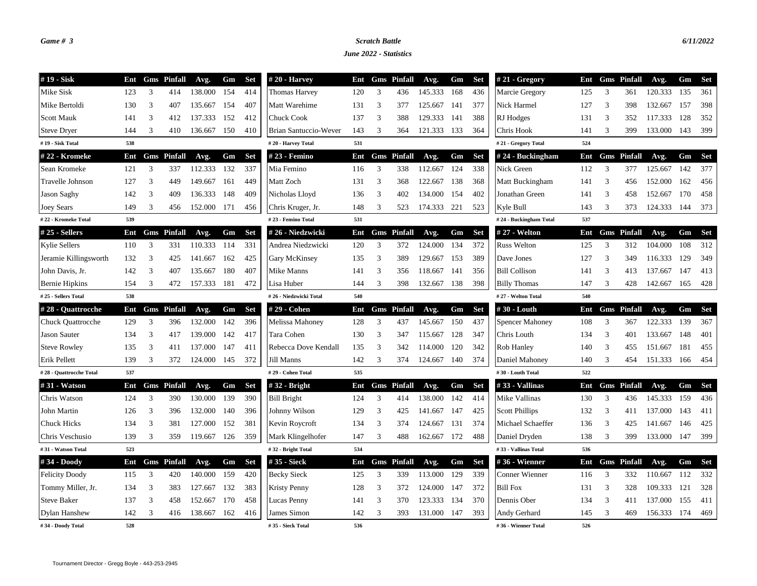## *Game # 3 Scratch Battle 6/11/2022*

*June 2022 - Statistics*

| #19 - Sisk               | Ent |   | <b>Gms</b> Pinfall | Avg.    | Gm  | Set        | $#20$ - Harvey         | Ent |   | <b>Gms</b> Pinfall | Avg.        | Gm  | Set        | $#21 - Gregory$        | Ent |   | <b>Gms</b> Pinfall | Avg.    | Gm    | <b>Set</b> |
|--------------------------|-----|---|--------------------|---------|-----|------------|------------------------|-----|---|--------------------|-------------|-----|------------|------------------------|-----|---|--------------------|---------|-------|------------|
| Mike Sisk                | 123 | 3 | 414                | 138.000 | 154 | 414        | <b>Thomas Harvey</b>   | 120 | 3 | 436                | 145.333     | 168 | 436        | Marcie Gregory         | 125 | 3 | 361                | 120.333 | 135   | 361        |
| Mike Bertoldi            | 130 | 3 | 407                | 135.667 | 154 | 407        | Matt Warehime          | 131 | 3 | 377                | 125.667     | 141 | 377        | Nick Harmel            | 127 | 3 | 398                | 132.667 | 157   | 398        |
| <b>Scott Mauk</b>        | 141 | 3 | 412                | 137.333 | 152 | 412        | Chuck Cook             | 137 | 3 | 388                | 129.333     | 141 | 388        | RJ Hodges              | 131 | 3 | 352                | 117.333 | 128   | 352        |
| <b>Steve Dryer</b>       | 144 | 3 | 410                | 136.667 | 150 | 410        | Brian Santuccio-Wever  | 143 | 3 | 364                | 121.333     | 133 | 364        | Chris Hook             | 141 | 3 | 399                | 133.000 | 143   | 399        |
| #19 - Sisk Total         | 538 |   |                    |         |     |            | #20 - Harvey Total     | 531 |   |                    |             |     |            | #21 - Gregory Total    | 524 |   |                    |         |       |            |
| #22 - Kromeke            | Ent |   | <b>Gms</b> Pinfall | Avg.    | Gm  | <b>Set</b> | # 23 - Femino          | Ent |   | <b>Gms</b> Pinfall | Avg.        | Gm  | <b>Set</b> | #24 - Buckingham       | Ent |   | <b>Gms</b> Pinfall | Avg.    | Gm    | <b>Set</b> |
| Sean Kromeke             | 121 | 3 | 337                | 112.333 | 132 | 337        | Mia Femino             | 116 | 3 | 338                | 112.667     | 124 | 338        | Nick Green             | 112 | 3 | 377                | 125.667 | 142   | 377        |
| Travelle Johnson         | 127 | 3 | 449                | 149.667 | 161 | 449        | Matt Zoch              | 131 | 3 | 368                | 122.667     | 138 | 368        | Matt Buckingham        | 141 | 3 | 456                | 152.000 | 162   | 456        |
| <b>Jason Saghy</b>       | 142 | 3 | 409                | 136.333 | 148 | 409        | Nicholas Lloyd         | 136 | 3 | 402                | 134.000     | 154 | 402        | Jonathan Green         | 141 | 3 | 458                | 152.667 | 170   | 458        |
| Joey Sears               | 149 | 3 | 456                | 152.000 | 171 | 456        | Chris Kruger, Jr.      | 148 | 3 | 523                | 174.333 221 |     | 523        | Kyle Bull              | 143 | 3 | 373                | 124.333 | 144   | 373        |
| #22 - Kromeke Total      | 539 |   |                    |         |     |            | #23 - Femino Total     | 531 |   |                    |             |     |            | #24 - Buckingham Total | 537 |   |                    |         |       |            |
| $#25 - Sellers$          | Ent |   | <b>Gms</b> Pinfall | Avg.    | Gm  | <b>Set</b> | #26 - Niedzwicki       | Ent |   | <b>Gms</b> Pinfall | Avg.        | Gm  | <b>Set</b> | # 27 - Welton          | Ent |   | <b>Gms</b> Pinfall | Avg.    | Gm    | <b>Set</b> |
| <b>Kylie Sellers</b>     | 110 | 3 | 331                | 110.333 | 114 | 331        | Andrea Niedzwicki      | 120 | 3 | 372                | 124.000     | 134 | 372        | <b>Russ Welton</b>     | 125 | 3 | 312                | 104.000 | 108   | 312        |
| Jeramie Killingsworth    | 132 | 3 | 425                | 141.667 | 162 | 425        | Gary McKinsey          | 135 | 3 | 389                | 129.667     | 153 | 389        | Dave Jones             | 127 | 3 | 349                | 116.333 | 129   | 349        |
| John Davis, Jr.          | 142 | 3 | 407                | 135.667 | 180 | 407        | Mike Manns             | 141 | 3 | 356                | 118.667     | 141 | 356        | <b>Bill Collison</b>   | 141 | 3 | 413                | 137.667 | 147   | 413        |
| <b>Bernie Hipkins</b>    | 154 | 3 | 472                | 157.333 | 181 | 472        | Lisa Huber             | 144 | 3 | 398                | 132.667     | 138 | 398        | <b>Billy Thomas</b>    | 147 | 3 | 428                | 142.667 | 165   | 428        |
| #25 - Sellers Total      | 538 |   |                    |         |     |            | #26 - Niedzwicki Total | 540 |   |                    |             |     |            | #27 - Welton Total     | 540 |   |                    |         |       |            |
| #28 - Quattrocche        | Ent |   | <b>Gms</b> Pinfall | Avg.    | Gm  | <b>Set</b> | #29 - Cohen            | Ent |   | <b>Gms</b> Pinfall | Avg.        | Gm  | <b>Set</b> | #30 - Louth            | Ent |   | <b>Gms</b> Pinfall | Avg.    | Gm    | <b>Set</b> |
| <b>Chuck Quattrocche</b> | 129 | 3 | 396                | 132.000 | 142 | 396        | Melissa Mahoney        | 128 | 3 | 437                | 145.667     | 150 | 437        | <b>Spencer Mahoney</b> | 108 | 3 | 367                | 122.333 | 139   | 367        |
| <b>Jason Sauter</b>      | 134 | 3 | 417                | 139.000 | 142 | 417        | Tara Cohen             | 130 | 3 | 347                | 115.667     | 128 | 347        | Chris Louth            | 134 | 3 | 401                | 133.667 | 148   | 401        |
| <b>Steve Rowley</b>      | 135 | 3 | 411                | 137.000 | 147 | 411        | Rebecca Dove Kendall   | 135 | 3 | 342                | 114.000     | 120 | 342        | Rob Hanley             | 140 | 3 | 455                | 151.667 | 181   | 455        |
| Erik Pellett             | 139 | 3 | 372                | 124.000 | 145 | 372        | Jill Manns             | 142 | 3 | 374                | 124.667     | 140 | 374        | Daniel Mahoney         | 140 | 3 | 454                | 151.333 | 166   | 454        |
| #28 - Quattrocche Total  | 537 |   |                    |         |     |            | #29 - Cohen Total      | 535 |   |                    |             |     |            | #30 - Louth Total      | 522 |   |                    |         |       |            |
| #31 - Watson             | Ent |   | <b>Gms</b> Pinfall | Avg.    | Gm  | <b>Set</b> | $#32$ - Bright         | Ent |   | <b>Gms</b> Pinfall | Avg.        | Gm  | <b>Set</b> | #33 - Vallinas         | Ent |   | <b>Gms</b> Pinfall | Avg.    | Gm    | <b>Set</b> |
| Chris Watson             | 124 | 3 | 390                | 130.000 | 139 | 390        | <b>Bill Bright</b>     | 124 | 3 | 414                | 138.000     | 142 | 414        | Mike Vallinas          | 130 | 3 | 436                | 145.333 | 159   | 436        |
| John Martin              | 126 | 3 | 396                | 132.000 | 140 | 396        | Johnny Wilson          | 129 | 3 | 425                | 141.667     | 147 | 425        | <b>Scott Phillips</b>  | 132 | 3 | 411                | 137.000 | 143   | 411        |
| <b>Chuck Hicks</b>       | 134 | 3 | 381                | 127.000 | 152 | 381        | Kevin Roycroft         | 134 | 3 | 374                | 124.667     | 131 | 374        | Michael Schaeffer      | 136 | 3 | 425                | 141.667 | 146   | 425        |
| Chris Veschusio          | 139 | 3 | 359                | 119.667 | 126 | 359        | Mark Klingelhofer      | 147 | 3 | 488                | 162.667     | 172 | 488        | Daniel Dryden          | 138 | 3 | 399                | 133.000 | - 147 | 399        |
| #31 - Watson Total       | 523 |   |                    |         |     |            | #32 - Bright Total     | 534 |   |                    |             |     |            | #33 - Vallinas Total   | 536 |   |                    |         |       |            |
| #34 - Doody              | Ent |   | <b>Gms</b> Pinfall | Avg.    | Gm  | <b>Set</b> | #35 - Sieck            | Ent |   | <b>Gms</b> Pinfall | Avg.        | Gm  | <b>Set</b> | #36 - Wienner          |     |   | Ent Gms Pinfall    | Avg.    | Gm    | Set        |
| <b>Felicity Doody</b>    | 115 | 3 | 420                | 140.000 | 159 | 420        | <b>Becky Sieck</b>     | 125 | 3 | 339                | 113.000     | 129 | 339        | Conner Wienner         | 116 | 3 | 332                | 110.667 | 112   | 332        |
| Tommy Miller, Jr.        | 134 | 3 | 383                | 127.667 | 132 | 383        | <b>Kristy Penny</b>    | 128 | 3 | 372                | 124.000     | 147 | 372        | <b>Bill Fox</b>        | 131 | 3 | 328                | 109.333 | 121   | 328        |
| <b>Steve Baker</b>       | 137 | 3 | 458                | 152.667 | 170 | 458        | Lucas Penny            | 141 | 3 | 370                | 123.333     | 134 | 370        | Dennis Ober            | 134 | 3 | 411                | 137.000 | 155   | 411        |
| <b>Dylan Hanshew</b>     | 142 | 3 | 416                | 138.667 | 162 | 416        | James Simon            | 142 | 3 | 393                | 131.000     | 147 | 393        | Andy Gerhard           | 145 | 3 | 469                | 156.333 | 174   | 469        |
| #34 - Doody Total        | 528 |   |                    |         |     |            | #35 - Sieck Total      | 536 |   |                    |             |     |            | #36 - Wienner Total    | 526 |   |                    |         |       |            |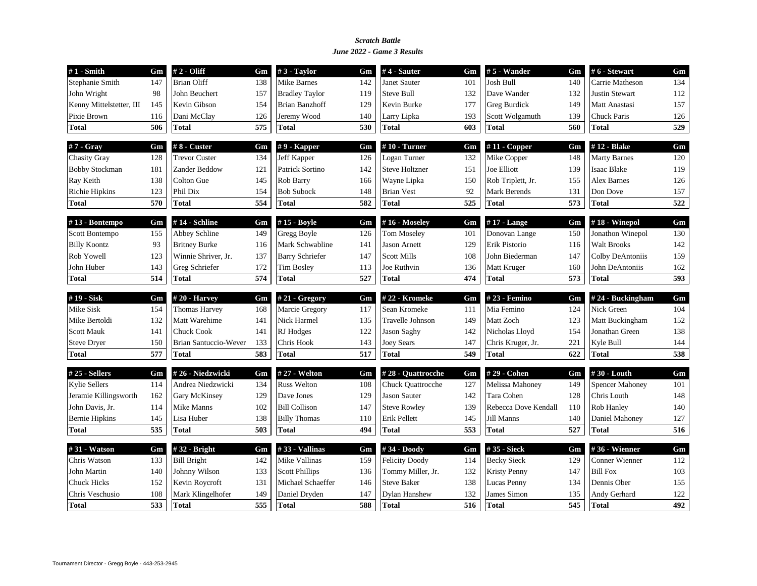### *June 2022 - Game 3 Results Scratch Battle*

| $#1$ - Smith             | Gm  | # 2 - Oliff                  | Gm  | $#3$ - Taylor          | Gm  | $#4$ - Sauter         | Gm  | $# 5$ - Wander       | Gm  | #6 - Stewart           | Gm  |
|--------------------------|-----|------------------------------|-----|------------------------|-----|-----------------------|-----|----------------------|-----|------------------------|-----|
| Stephanie Smith          | 147 | <b>Brian Oliff</b>           | 138 | Mike Barnes            | 142 | Janet Sauter          | 101 | Josh Bull            | 140 | Carrie Matheson        | 134 |
| John Wright              | 98  | John Beuchert                | 157 | <b>Bradley Taylor</b>  | 119 | <b>Steve Bull</b>     | 132 | Dave Wander          | 132 | <b>Justin Stewart</b>  | 112 |
| Kenny Mittelstetter, III | 145 | Kevin Gibson                 | 154 | <b>Brian Banzhoff</b>  | 129 | Kevin Burke           | 177 | <b>Greg Burdick</b>  | 149 | Matt Anastasi          | 157 |
| Pixie Brown              | 116 | Dani McClay                  | 126 | Jeremy Wood            | 140 | Larry Lipka           | 193 | Scott Wolgamuth      | 139 | <b>Chuck Paris</b>     | 126 |
| <b>Total</b>             | 506 | <b>Total</b>                 | 575 | <b>Total</b>           | 530 | <b>Total</b>          | 603 | Total                | 560 | <b>Total</b>           | 529 |
| #7 - Gray                | Gm  | #8 - Custer                  | Gm  | $# 9$ - Kapper         | Gm  | $#10$ - Turner        | Gm  | $#11$ - Copper       | Gm  | #12 - Blake            | Gm  |
| <b>Chasity Gray</b>      | 128 | <b>Trevor Custer</b>         | 134 | Jeff Kapper            | 126 | Logan Turner          | 132 | Mike Copper          | 148 | <b>Marty Barnes</b>    | 120 |
| <b>Bobby Stockman</b>    | 181 | Zander Beddow                | 121 | Patrick Sortino        | 142 | <b>Steve Holtzner</b> | 151 | Joe Elliott          | 139 | Isaac Blake            | 119 |
| Ray Keith                | 138 | Colton Gue                   | 145 | Rob Barry              | 166 | Wayne Lipka           | 150 | Rob Triplett, Jr.    | 155 | <b>Alex Barnes</b>     | 126 |
| <b>Richie Hipkins</b>    | 123 | Phil Dix                     | 154 | <b>Bob Subock</b>      | 148 | <b>Brian Vest</b>     | 92  | Mark Berends         | 131 | Don Dove               | 157 |
| Total                    | 570 | <b>Total</b>                 | 554 | <b>Total</b>           | 582 | <b>Total</b>          | 525 | Total                | 573 | <b>Total</b>           | 522 |
| #13 - Bontempo           | Gm  | #14 - Schline                | Gm  | #15 - Boyle            | Gm  | #16 - Moseley         | Gm  | $#17$ - Lange        | Gm  | #18 - Winepol          | Gm  |
| Scott Bontempo           | 155 | Abbey Schline                | 149 | Gregg Boyle            | 126 | <b>Tom Moseley</b>    | 101 | Donovan Lange        | 150 | Jonathon Winepol       | 130 |
| <b>Billy Koontz</b>      | 93  | <b>Britney Burke</b>         | 116 | Mark Schwabline        | 141 | <b>Jason Arnett</b>   | 129 | Erik Pistorio        | 116 | <b>Walt Brooks</b>     | 142 |
| Rob Yowell               | 123 | Winnie Shriver, Jr.          | 137 | <b>Barry Schriefer</b> | 147 | <b>Scott Mills</b>    | 108 | John Biederman       | 147 | Colby DeAntoniis       | 159 |
| John Huber               | 143 | Greg Schriefer               | 172 | <b>Tim Bosley</b>      | 113 | Joe Ruthvin           | 136 | Matt Kruger          | 160 | John DeAntoniis        | 162 |
| <b>Total</b>             | 514 | <b>Total</b>                 | 574 | <b>Total</b>           | 527 | <b>Total</b>          | 474 | Total                | 573 | <b>Total</b>           | 593 |
| #19 - Sisk               | Gm  | $#20 - Harvey$               | Gm  | # $21 - Gregory$       | Gm  | #22 - Kromeke         | Gm  | # 23 - Femino        | Gm  | #24 - Buckingham       | Gm  |
| Mike Sisk                | 154 | <b>Thomas Harvey</b>         | 168 | Marcie Gregory         | 117 | Sean Kromeke          | 111 | Mia Femino           | 124 | Nick Green             | 104 |
| Mike Bertoldi            | 132 | Matt Warehime                | 141 | Nick Harmel            | 135 | Travelle Johnson      | 149 | Matt Zoch            | 123 | Matt Buckingham        | 152 |
| <b>Scott Mauk</b>        | 141 | <b>Chuck Cook</b>            | 141 | RJ Hodges              | 122 | <b>Jason Saghy</b>    | 142 | Nicholas Lloyd       | 154 | Jonathan Green         | 138 |
| <b>Steve Dryer</b>       | 150 | <b>Brian Santuccio-Wever</b> | 133 | Chris Hook             | 143 | <b>Joey Sears</b>     | 147 | Chris Kruger, Jr.    | 221 | Kyle Bull              | 144 |
| <b>Total</b>             | 577 | <b>Total</b>                 | 583 | <b>Total</b>           | 517 | <b>Total</b>          | 549 | Total                | 622 | <b>Total</b>           | 538 |
| #25 - Sellers            | Gm  | #26 - Niedzwicki             | Gm  | # 27 - Welton          | Gm  | #28 - Quattrocche     | Gm  | #29 - Cohen          | Gm  | #30 - Louth            | Gm  |
| <b>Kylie Sellers</b>     | 114 | Andrea Niedzwicki            | 134 | <b>Russ Welton</b>     | 108 | Chuck Quattrocche     | 127 | Melissa Mahoney      | 149 | <b>Spencer Mahoney</b> | 101 |
| Jeramie Killingsworth    | 162 | Gary McKinsey                | 129 | Dave Jones             | 129 | <b>Jason Sauter</b>   | 142 | Tara Cohen           | 128 | Chris Louth            | 148 |
| John Davis, Jr.          | 114 | Mike Manns                   | 102 | <b>Bill Collison</b>   | 147 | <b>Steve Rowley</b>   | 139 | Rebecca Dove Kendall | 110 | Rob Hanley             | 140 |
| <b>Bernie Hipkins</b>    | 145 | Lisa Huber                   | 138 | <b>Billy Thomas</b>    | 110 | Erik Pellett          | 145 | Jill Manns           | 140 | Daniel Mahoney         | 127 |
| <b>Total</b>             | 535 | <b>Total</b>                 | 503 | <b>Total</b>           | 494 | <b>Total</b>          | 553 | Total                | 527 | <b>Total</b>           | 516 |
| #31 - Watson             | Gm  | #32 - Bright                 | Gm  | #33 - Vallinas         | Gm  | #34 - Doody           | Gm  | #35 - Sieck          | Gm  | #36 - Wienner          | Gm  |
| Chris Watson             | 133 | <b>Bill Bright</b>           | 142 | Mike Vallinas          | 159 | <b>Felicity Doody</b> | 114 | <b>Becky Sieck</b>   | 129 | Conner Wienner         | 112 |
|                          |     |                              |     |                        | 136 | Tommy Miller, Jr.     | 132 | <b>Kristy Penny</b>  | 147 | <b>Bill Fox</b>        | 103 |
| <b>John Martin</b>       | 140 | Johnny Wilson                | 133 | <b>Scott Phillips</b>  |     |                       |     |                      |     |                        |     |
| <b>Chuck Hicks</b>       | 152 | Kevin Roycroft               | 131 | Michael Schaeffer      | 146 | <b>Steve Baker</b>    | 138 | Lucas Penny          | 134 | Dennis Ober            | 155 |
| Chris Veschusio          | 108 | Mark Klingelhofer            | 149 | Daniel Dryden          | 147 | <b>Dylan Hanshew</b>  | 132 | James Simon          | 135 | Andy Gerhard           | 122 |